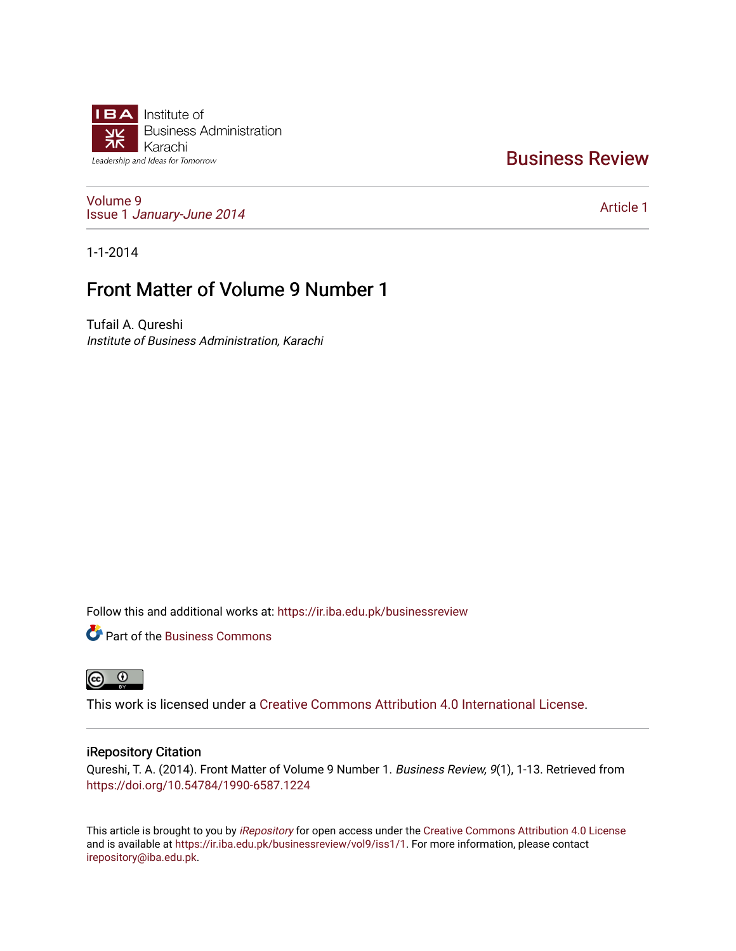

# [Business Review](https://ir.iba.edu.pk/businessreview)

[Volume 9](https://ir.iba.edu.pk/businessreview/vol9) Issue 1 [January-June 2014](https://ir.iba.edu.pk/businessreview/vol9/iss1) 

[Article 1](https://ir.iba.edu.pk/businessreview/vol9/iss1/1) 

1-1-2014

# Front Matter of Volume 9 Number 1

Tufail A. Qureshi Institute of Business Administration, Karachi

Follow this and additional works at: [https://ir.iba.edu.pk/businessreview](https://ir.iba.edu.pk/businessreview?utm_source=ir.iba.edu.pk%2Fbusinessreview%2Fvol9%2Fiss1%2F1&utm_medium=PDF&utm_campaign=PDFCoverPages) 

**P** Part of the [Business Commons](http://network.bepress.com/hgg/discipline/622?utm_source=ir.iba.edu.pk%2Fbusinessreview%2Fvol9%2Fiss1%2F1&utm_medium=PDF&utm_campaign=PDFCoverPages)



This work is licensed under a [Creative Commons Attribution 4.0 International License](https://creativecommons.org/licenses/by/4.0/).

# iRepository Citation

Qureshi, T. A. (2014). Front Matter of Volume 9 Number 1. Business Review, 9(1), 1-13. Retrieved from <https://doi.org/10.54784/1990-6587.1224>

This article is brought to you by [iRepository](https://ir.iba.edu.pk/) for open access under the Creative Commons Attribution 4.0 License and is available at [https://ir.iba.edu.pk/businessreview/vol9/iss1/1.](https://ir.iba.edu.pk/businessreview/vol9/iss1/1) For more information, please contact [irepository@iba.edu.pk.](mailto:irepository@iba.edu.pk)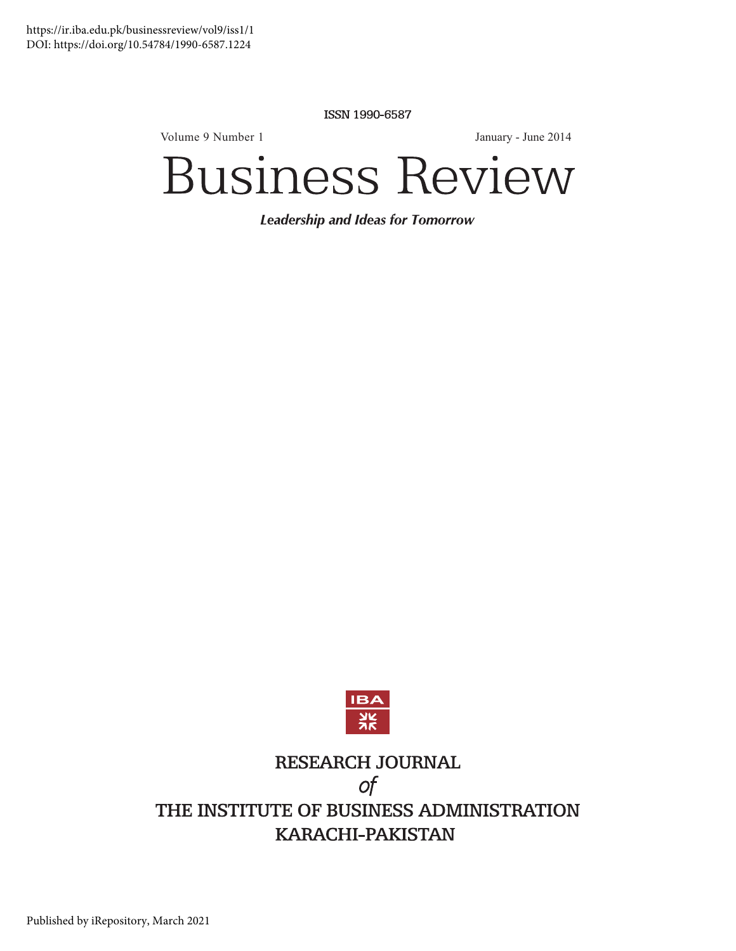ISSN 1990-6587

Volume 9 Numbe  $r1$  J

anuary - June 2014

# **Business Review**

**Leadership and Ideas for Tomorrow** 



# RESEARCH JOURNAL  $\circ f$ THE INSTITUTE OF BUSINESS ADMINISTRATION **KARACHI-PAKISTAN**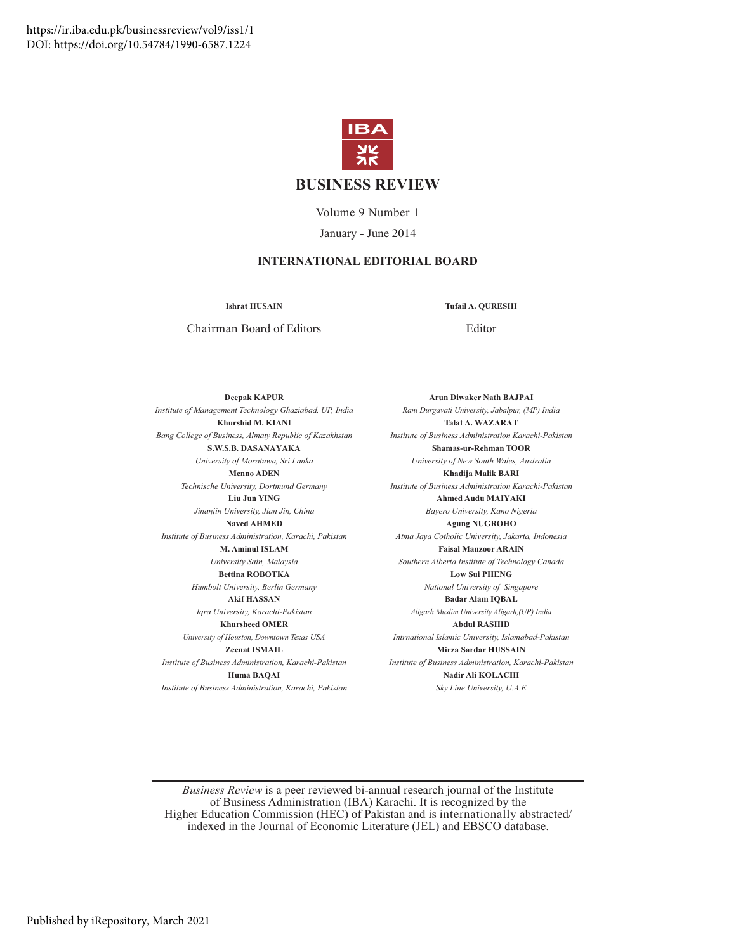

# **BUSINESS REVIEW**

Volume 9 Number 1 January - June 2014

# **INTERNATIONAL EDITORIAL BOARD**

**Ishrat HUSAIN** 

**Tufail A. QURESHI** 

Chairman Board of Editors

Editor

**Arun Diwaker Nath BAJPAI** 

**Deepak KAPUR** Institute of Management Technology Ghaziabad, UP, India Khurshid M. KIANI Bang College of Business, Almaty Republic of Kazakhstan S.W.S.B. DASANAYAKA University of Moratuwa, Sri Lanka **Menno ADEN** Technische University, Dortmund Germany **Liu Jun YING** Jinanjin University, Jian Jin, China Naved AHMED Institute of Business Administration, Karachi, Pakistan M. Aminul ISLAM University Sain, Malaysia **Bettina ROBOTKA** Humbolt University, Berlin Germany **Akif HASSAN** Igra University, Karachi-Pakistan **Khursheed OMER** University of Houston, Downtown Texas USA Zeenat ISMAIL Institute of Business Administration, Karachi-Pakistan Huma BAQAI

Institute of Business Administration, Karachi, Pakistan

Rani Durgavati University, Jabalpur, (MP) India **Talat A. WAZARAT** Institute of Business Administration Karachi-Pakistan Shamas-ur-Rehman TOOR University of New South Wales, Australia Khadiia Malik BARI Institute of Business Administration Karachi-Pakistan **Ahmed Audu MAIYAKI** Bayero University, Kano Nigeria **Agung NUGROHO** Atma Jaya Cotholic University, Jakarta, Indonesia **Faisal Manzoor ARAIN** Southern Alberta Institute of Technology Canada **Low Sui PHENG** National University of Singapore **Badar Alam IQBAL** Aligarh Muslim University Aligarh, (UP) India **Abdul RASHID** Intrnational Islamic University, Islamabad-Pakistan Mirza Sardar HUSSAIN Institute of Business Administration, Karachi-Pakistan Nadir Ali KOLACHI Sky Line University, U.A.E

Business Review is a peer reviewed bi-annual research journal of the Institute of Business Administration (IBA) Karachi. It is recognized by the Higher Education Commission (HEC) of Pakistan and is internationally abstracted/ indexed in the Journal of Economic Literature (JEL) and EBSCO database.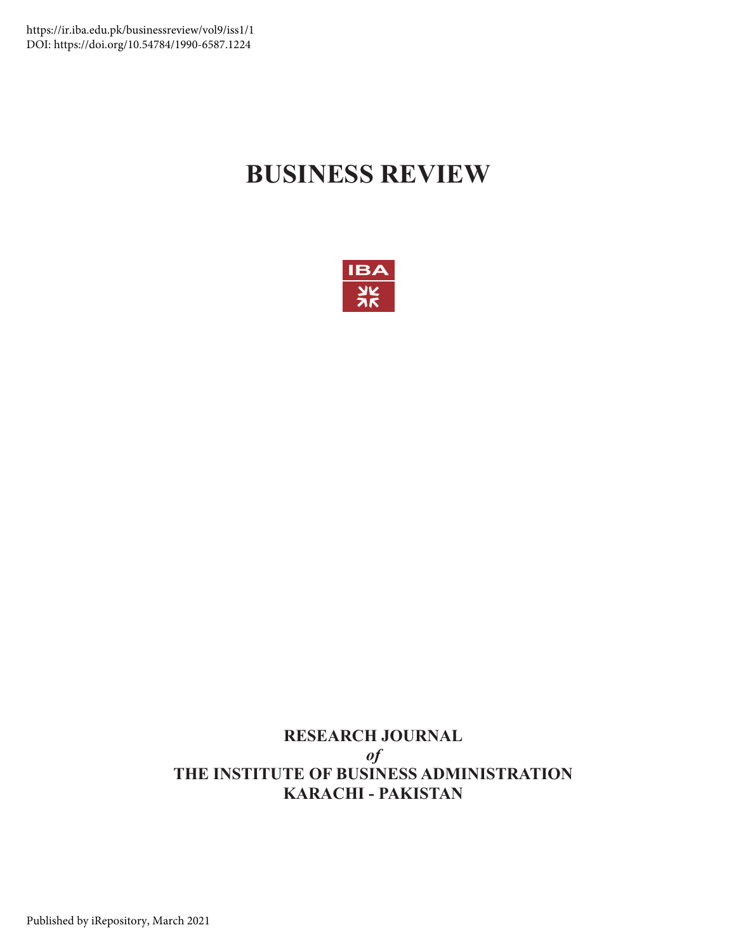# **BUSINESS REVIEW**



# **RESEARCH JOURNAL**  $\boldsymbol{\theta}$ **THE INSTITUTE OF BUSINESS ADMINISTRATION KARACHI - PAKISTAN**

Published by iRepository, March 2021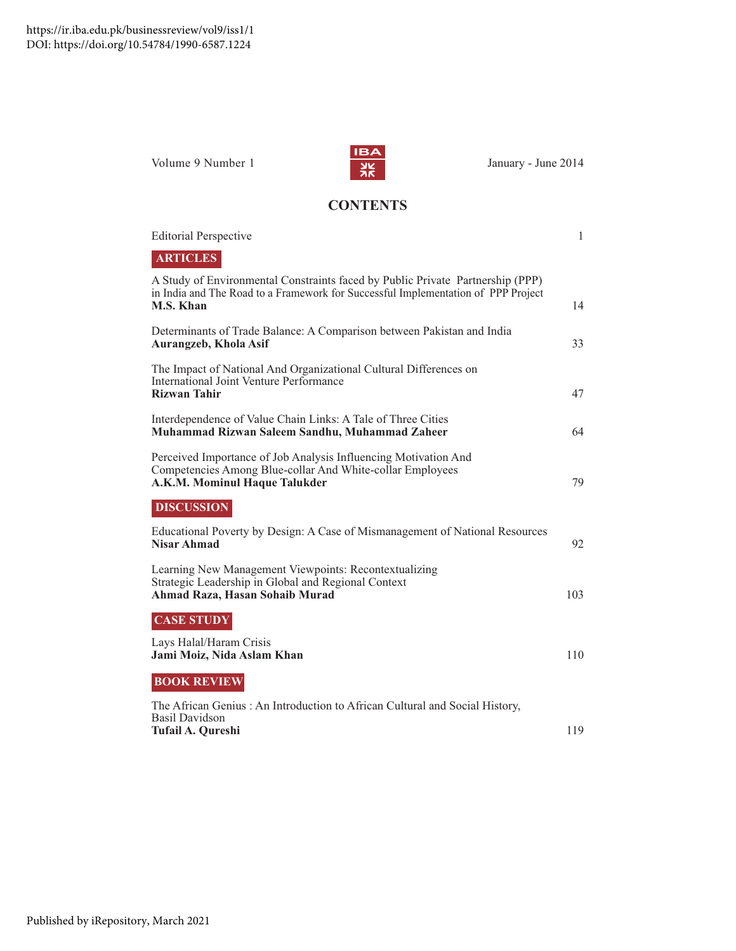Volume 9 Numbe



anuary - June 2014

# **CONTENTS**

| <b>Editorial Perspective</b>                                                                                                                                                     | $\mathbf{1}$ |
|----------------------------------------------------------------------------------------------------------------------------------------------------------------------------------|--------------|
| <b>ARTICLES</b>                                                                                                                                                                  |              |
| A Study of Environmental Constraints faced by Public Private Partnership (PPP)<br>in India and The Road to a Framework for Successful Implementation of PPP Project<br>M.S. Khan | 14           |
| Determinants of Trade Balance: A Comparison between Pakistan and India<br>Aurangzeb, Khola Asif                                                                                  | 33           |
| The Impact of National And Organizational Cultural Differences on<br>International Joint Venture Performance<br><b>Rizwan Tahir</b>                                              | 47           |
| Interdependence of Value Chain Links: A Tale of Three Cities<br>Muhammad Rizwan Saleem Sandhu, Muhammad Zaheer                                                                   | 64           |
| Perceived Importance of Job Analysis Influencing Motivation And<br>Competencies Among Blue-collar And White-collar Employees<br>A.K.M. Mominul Haque Talukder                    | 79           |
| <b>DISCUSSION</b>                                                                                                                                                                |              |
| Educational Poverty by Design: A Case of Mismanagement of National Resources<br>Nisar Ahmad                                                                                      | 92           |
| Learning New Management Viewpoints: Recontextualizing<br>Strategic Leadership in Global and Regional Context<br>Ahmad Raza, Hasan Sohaib Murad                                   | 103          |
| <b>CASE STUDY</b>                                                                                                                                                                |              |
| Lays Halal/Haram Crisis<br>Jami Moiz, Nida Aslam Khan                                                                                                                            | 110          |
| <b>BOOK REVIEW</b>                                                                                                                                                               |              |
| The African Genius: An Introduction to African Cultural and Social History,<br><b>Basil Davidson</b><br>Tufail A. Qureshi                                                        | 119          |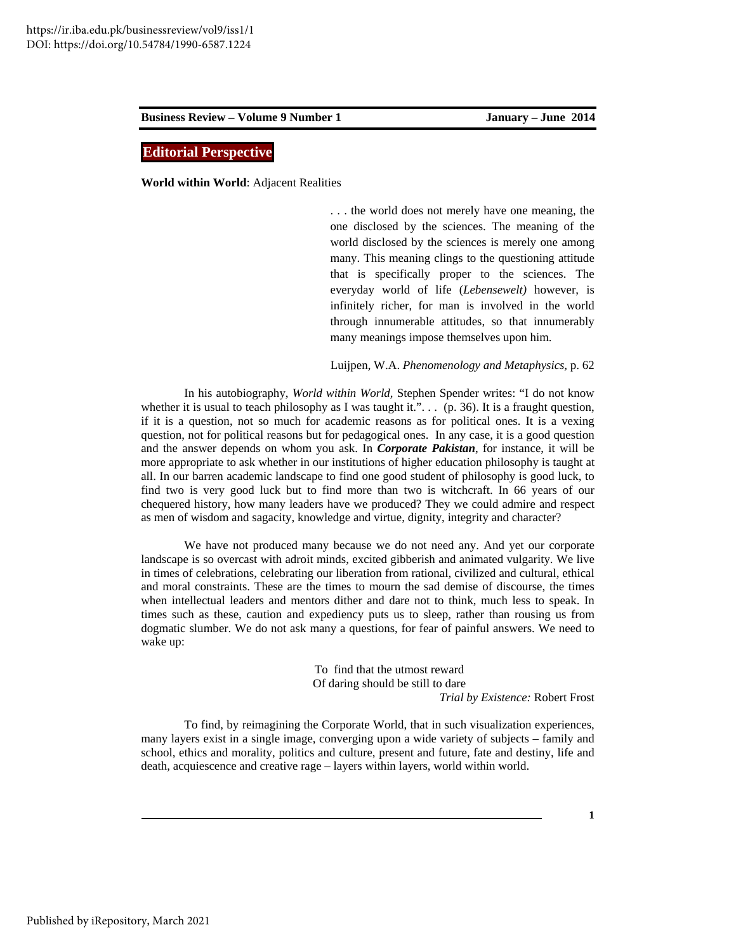# **Editorial Perspective**

**World within World**: Adjacent Realities

. . . the world does not merely have one meaning, the one disclosed by the sciences. The meaning of the world disclosed by the sciences is merely one among many. This meaning clings to the questioning attitude that is specifically proper to the sciences. The everyday world of life (*Lebensewelt)* however, is infinitely richer, for man is involved in the world through innumerable attitudes, so that innumerably many meanings impose themselves upon him.

Luijpen, W.A. *Phenomenology and Metaphysics,* p. 62

In his autobiography, *World within World,* Stephen Spender writes: "I do not know whether it is usual to teach philosophy as I was taught it." $\ldots$  (p. 36). It is a fraught question, if it is a question, not so much for academic reasons as for political ones. It is a vexing question, not for political reasons but for pedagogical ones. In any case, it is a good question and the answer depends on whom you ask. In *Corporate Pakistan*, for instance, it will be more appropriate to ask whether in our institutions of higher education philosophy is taught at all. In our barren academic landscape to find one good student of philosophy is good luck, to find two is very good luck but to find more than two is witchcraft. In 66 years of our chequered history, how many leaders have we produced? They we could admire and respect as men of wisdom and sagacity, knowledge and virtue, dignity, integrity and character?

We have not produced many because we do not need any. And yet our corporate landscape is so overcast with adroit minds, excited gibberish and animated vulgarity. We live in times of celebrations, celebrating our liberation from rational, civilized and cultural, ethical and moral constraints. These are the times to mourn the sad demise of discourse, the times when intellectual leaders and mentors dither and dare not to think, much less to speak. In times such as these, caution and expediency puts us to sleep, rather than rousing us from dogmatic slumber. We do not ask many a questions, for fear of painful answers. We need to wake up:

> To find that the utmost reward Of daring should be still to dare *Trial by Existence:* Robert Frost

To find, by reimagining the Corporate World, that in such visualization experiences, many layers exist in a single image, converging upon a wide variety of subjects – family and school, ethics and morality, politics and culture, present and future, fate and destiny, life and death, acquiescence and creative rage – layers within layers, world within world.

**1**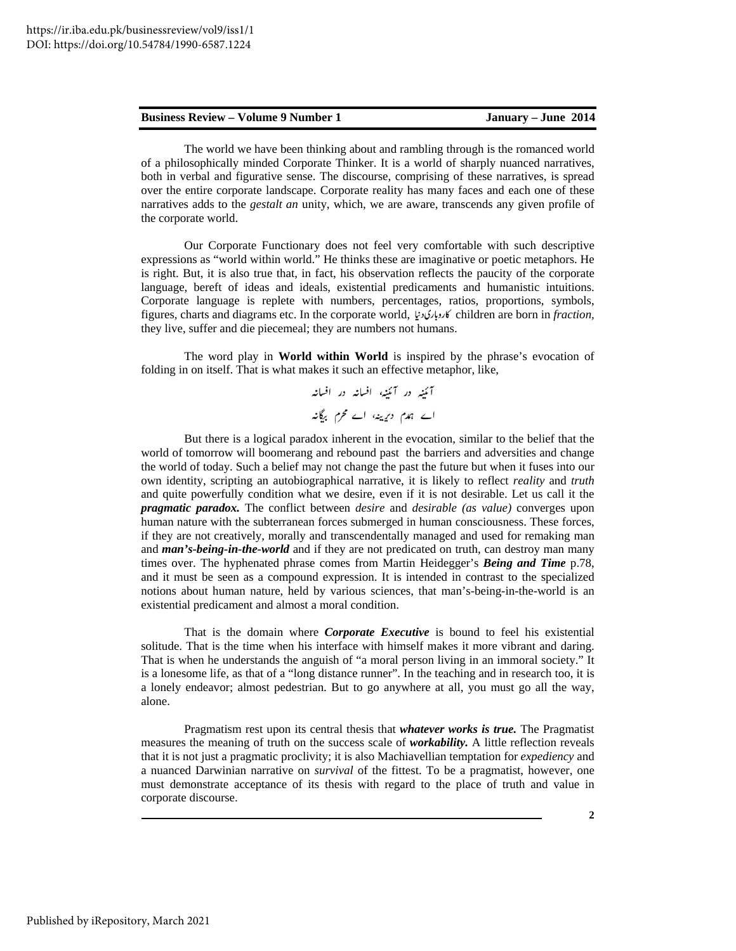The world we have been thinking about and rambling through is the romanced world of a philosophically minded Corporate Thinker. It is a world of sharply nuanced narratives, both in verbal and figurative sense. The discourse, comprising of these narratives, is spread over the entire corporate landscape. Corporate reality has many faces and each one of these narratives adds to the *gestalt an* unity, which, we are aware, transcends any given profile of the corporate world.

Our Corporate Functionary does not feel very comfortable with such descriptive expressions as "world within world." He thinks these are imaginative or poetic metaphors. He is right. But, it is also true that, in fact, his observation reflects the paucity of the corporate language, bereft of ideas and ideals, existential predicaments and humanistic intuitions. Corporate language is replete with numbers, percentages, ratios, proportions, symbols, figures, charts and diagrams etc. In the corporate world, children are born in *fraction,*  they live, suffer and die piecemeal; they are numbers not humans.

The word play in **World within World** is inspired by the phrase's evocation of folding in on itself. That is what makes it such an effective metaphor, like,

> آنئپہ در آنئیہ، افسانہ در افسانہ اے ہمدم دیرینہ، اے محرم برگانہ

But there is a logical paradox inherent in the evocation, similar to the belief that the world of tomorrow will boomerang and rebound past the barriers and adversities and change the world of today. Such a belief may not change the past the future but when it fuses into our own identity, scripting an autobiographical narrative, it is likely to reflect *reality* and *truth*  and quite powerfully condition what we desire, even if it is not desirable. Let us call it the *pragmatic paradox.* The conflict between *desire* and *desirable (as value)* converges upon human nature with the subterranean forces submerged in human consciousness. These forces, if they are not creatively, morally and transcendentally managed and used for remaking man and **man's-being-in-the-world** and if they are not predicated on truth, can destroy man many times over. The hyphenated phrase comes from Martin Heidegger's *Being and Time* p.78, and it must be seen as a compound expression. It is intended in contrast to the specialized notions about human nature, held by various sciences, that man's-being-in-the-world is an existential predicament and almost a moral condition.

That is the domain where *Corporate Executive* is bound to feel his existential solitude. That is the time when his interface with himself makes it more vibrant and daring. That is when he understands the anguish of "a moral person living in an immoral society." It is a lonesome life, as that of a "long distance runner". In the teaching and in research too, it is a lonely endeavor; almost pedestrian. But to go anywhere at all, you must go all the way, alone.

Pragmatism rest upon its central thesis that *whatever works is true.* The Pragmatist measures the meaning of truth on the success scale of *workability.* A little reflection reveals that it is not just a pragmatic proclivity; it is also Machiavellian temptation for *expediency* and a nuanced Darwinian narrative on *survival* of the fittest. To be a pragmatist, however, one must demonstrate acceptance of its thesis with regard to the place of truth and value in corporate discourse.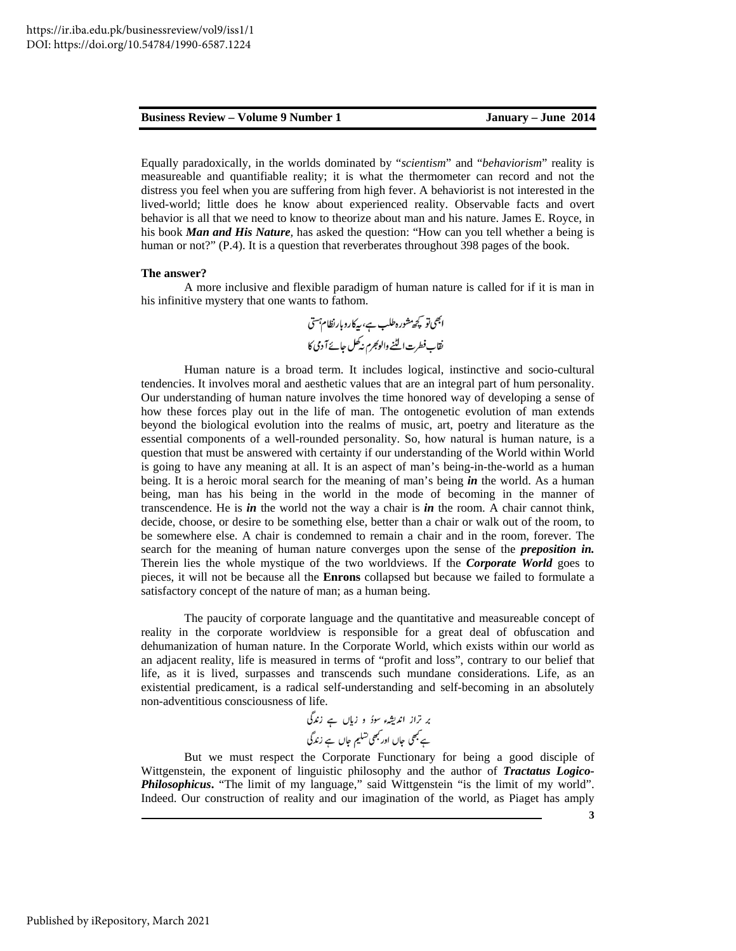Equally paradoxically, in the worlds dominated by "*scientism*" and "*behaviorism*" reality is measureable and quantifiable reality; it is what the thermometer can record and not the distress you feel when you are suffering from high fever. A behaviorist is not interested in the lived-world; little does he know about experienced reality. Observable facts and overt behavior is all that we need to know to theorize about man and his nature. James E. Royce, in his book *Man and His Nature,* has asked the question: "How can you tell whether a being is human or not?" (P.4). It is a question that reverberates throughout 398 pages of the book.

### **The answer?**

A more inclusive and flexible paradigm of human nature is called for if it is man in his infinitive mystery that one wants to fathom.

Human nature is a broad term. It includes logical, instinctive and socio-cultural tendencies. It involves moral and aesthetic values that are an integral part of hum personality. Our understanding of human nature involves the time honored way of developing a sense of how these forces play out in the life of man. The ontogenetic evolution of man extends beyond the biological evolution into the realms of music, art, poetry and literature as the essential components of a well-rounded personality. So, how natural is human nature, is a question that must be answered with certainty if our understanding of the World within World is going to have any meaning at all. It is an aspect of man's being-in-the-world as a human being. It is a heroic moral search for the meaning of man's being *in* the world. As a human being, man has his being in the world in the mode of becoming in the manner of transcendence. He is *in* the world not the way a chair is *in* the room. A chair cannot think, decide, choose, or desire to be something else, better than a chair or walk out of the room, to be somewhere else. A chair is condemned to remain a chair and in the room, forever. The search for the meaning of human nature converges upon the sense of the *preposition in.*  Therein lies the whole mystique of the two worldviews. If the *Corporate World* goes to pieces, it will not be because all the **Enrons** collapsed but because we failed to formulate a satisfactory concept of the nature of man; as a human being.

The paucity of corporate language and the quantitative and measureable concept of reality in the corporate worldview is responsible for a great deal of obfuscation and dehumanization of human nature. In the Corporate World, which exists within our world as an adjacent reality, life is measured in terms of "profit and loss", contrary to our belief that life, as it is lived, surpasses and transcends such mundane considerations. Life, as an existential predicament, is a radical self-understanding and self-becoming in an absolutely non-adventitious consciousness of life.

But we must respect the Corporate Functionary for being a good disciple of Wittgenstein, the exponent of linguistic philosophy and the author of *Tractatus Logico-Philosophicus***.** "The limit of my language," said Wittgenstein "is the limit of my world". Indeed. Our construction of reality and our imagination of the world, as Piaget has amply

**3**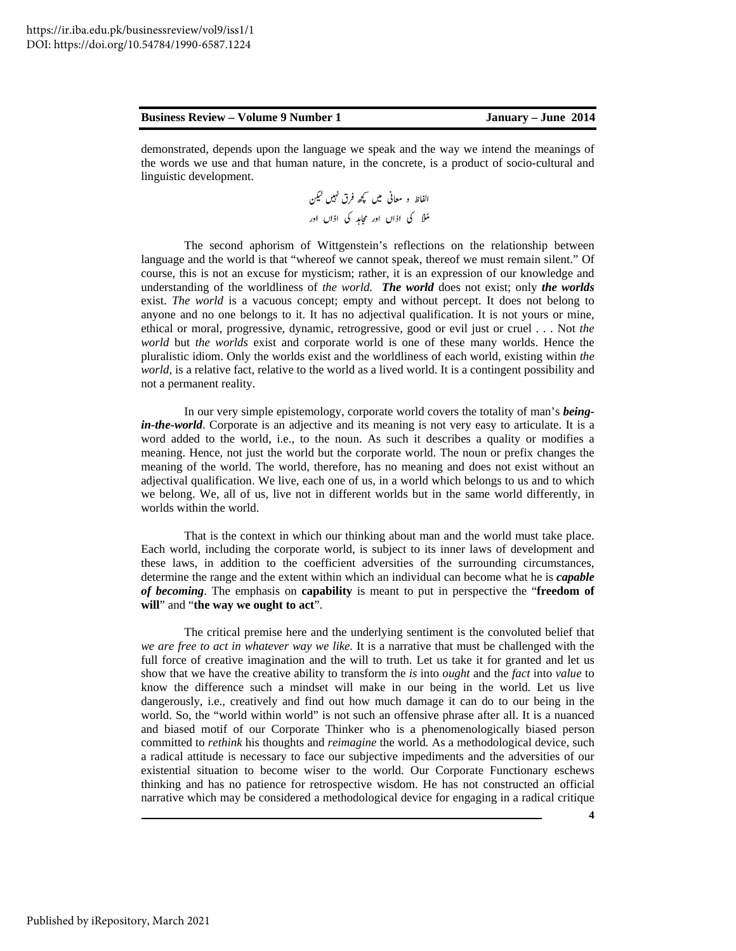demonstrated, depends upon the language we speak and the way we intend the meanings of the words we use and that human nature, in the concrete, is a product of socio-cultural and linguistic development.

The second aphorism of Wittgenstein's reflections on the relationship between language and the world is that "whereof we cannot speak, thereof we must remain silent." Of course, this is not an excuse for mysticism; rather, it is an expression of our knowledge and understanding of the worldliness of *the world. The world* does not exist; only *the worlds* exist. *The world* is a vacuous concept; empty and without percept. It does not belong to anyone and no one belongs to it. It has no adjectival qualification. It is not yours or mine, ethical or moral, progressive, dynamic, retrogressive, good or evil just or cruel . . . Not *the world* but *the worlds* exist and corporate world is one of these many worlds. Hence the pluralistic idiom. Only the worlds exist and the worldliness of each world, existing within *the world*, is a relative fact, relative to the world as a lived world. It is a contingent possibility and not a permanent reality.

In our very simple epistemology, corporate world covers the totality of man's *beingin-the-world*. Corporate is an adjective and its meaning is not very easy to articulate. It is a word added to the world, i.e., to the noun. As such it describes a quality or modifies a meaning. Hence, not just the world but the corporate world. The noun or prefix changes the meaning of the world. The world, therefore, has no meaning and does not exist without an adjectival qualification. We live, each one of us, in a world which belongs to us and to which we belong. We, all of us, live not in different worlds but in the same world differently, in worlds within the world.

That is the context in which our thinking about man and the world must take place. Each world, including the corporate world, is subject to its inner laws of development and these laws, in addition to the coefficient adversities of the surrounding circumstances, determine the range and the extent within which an individual can become what he is *capable of becoming*. The emphasis on **capability** is meant to put in perspective the "**freedom of will**" and "**the way we ought to act**".

The critical premise here and the underlying sentiment is the convoluted belief that *we are free to act in whatever way we like.* It is a narrative that must be challenged with the full force of creative imagination and the will to truth. Let us take it for granted and let us show that we have the creative ability to transform the *is* into *ought* and the *fact* into *value* to know the difference such a mindset will make in our being in the world. Let us live dangerously, i.e., creatively and find out how much damage it can do to our being in the world. So, the "world within world" is not such an offensive phrase after all. It is a nuanced and biased motif of our Corporate Thinker who is a phenomenologically biased person committed to *rethink* his thoughts and *reimagine* the world*.* As a methodological device, such a radical attitude is necessary to face our subjective impediments and the adversities of our existential situation to become wiser to the world. Our Corporate Functionary eschews thinking and has no patience for retrospective wisdom. He has not constructed an official narrative which may be considered a methodological device for engaging in a radical critique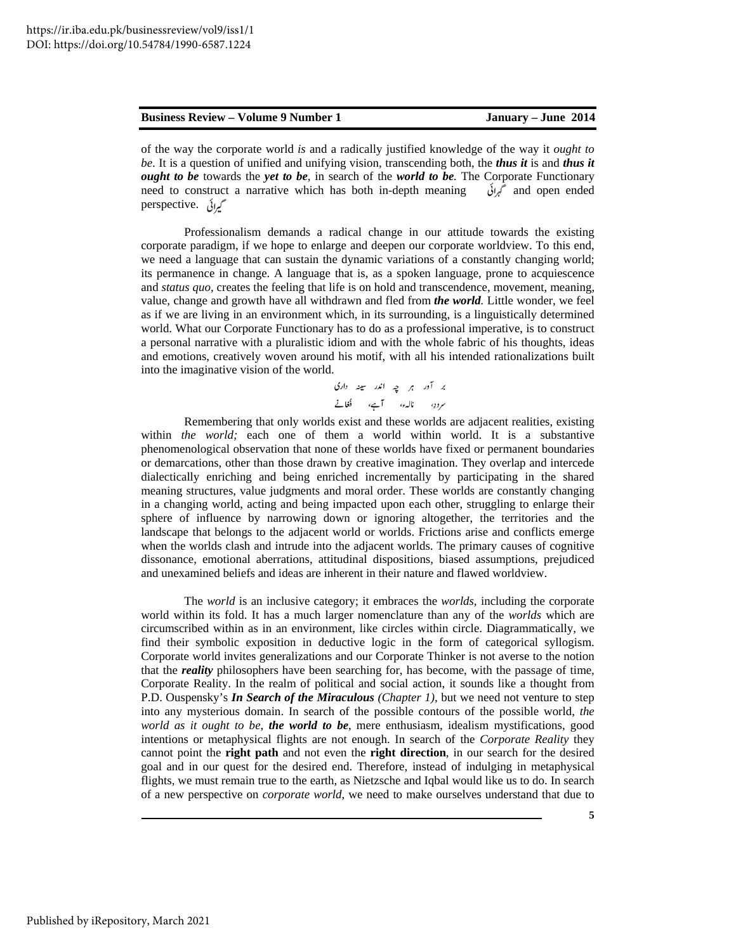of the way the corporate world *is* and a radically justified knowledge of the way it *ought to be*. It is a question of unified and unifying vision, transcending both, the *thus it* is and *thus it ought to be* towards the *yet to be,* in search of the *world to be.* The Corporate Functionary need to construct a narrative which has both in-depth meaning  $\delta v$  and open ended perspective. گیرائی

Professionalism demands a radical change in our attitude towards the existing corporate paradigm, if we hope to enlarge and deepen our corporate worldview. To this end, we need a language that can sustain the dynamic variations of a constantly changing world; its permanence in change. A language that is, as a spoken language, prone to acquiescence and *status quo,* creates the feeling that life is on hold and transcendence, movement, meaning, value, change and growth have all withdrawn and fled from *the world.* Little wonder, we feel as if we are living in an environment which, in its surrounding, is a linguistically determined world. What our Corporate Functionary has to do as a professional imperative, is to construct a personal narrative with a pluralistic idiom and with the whole fabric of his thoughts, ideas and emotions, creatively woven around his motif, with all his intended rationalizations built into the imaginative vision of the world.

Remembering that only worlds exist and these worlds are adjacent realities, existing within *the world;* each one of them a world within world. It is a substantive phenomenological observation that none of these worlds have fixed or permanent boundaries or demarcations, other than those drawn by creative imagination. They overlap and intercede dialectically enriching and being enriched incrementally by participating in the shared meaning structures, value judgments and moral order. These worlds are constantly changing in a changing world, acting and being impacted upon each other, struggling to enlarge their sphere of influence by narrowing down or ignoring altogether, the territories and the landscape that belongs to the adjacent world or worlds. Frictions arise and conflicts emerge when the worlds clash and intrude into the adjacent worlds. The primary causes of cognitive dissonance, emotional aberrations, attitudinal dispositions, biased assumptions, prejudiced and unexamined beliefs and ideas are inherent in their nature and flawed worldview.

The *world* is an inclusive category; it embraces the *worlds,* including the corporate world within its fold. It has a much larger nomenclature than any of the *worlds* which are circumscribed within as in an environment, like circles within circle. Diagrammatically, we find their symbolic exposition in deductive logic in the form of categorical syllogism. Corporate world invites generalizations and our Corporate Thinker is not averse to the notion that the *reality* philosophers have been searching for, has become, with the passage of time, Corporate Reality. In the realm of political and social action, it sounds like a thought from P.D. Ouspensky's *In Search of the Miraculous (Chapter 1),* but we need not venture to step into any mysterious domain. In search of the possible contours of the possible world, *the world as it ought to be*, *the world to be*, mere enthusiasm, idealism mystifications, good intentions or metaphysical flights are not enough. In search of the *Corporate Reality* they cannot point the **right path** and not even the **right direction**, in our search for the desired goal and in our quest for the desired end. Therefore, instead of indulging in metaphysical flights, we must remain true to the earth, as Nietzsche and Iqbal would like us to do. In search of a new perspective on *corporate world*, we need to make ourselves understand that due to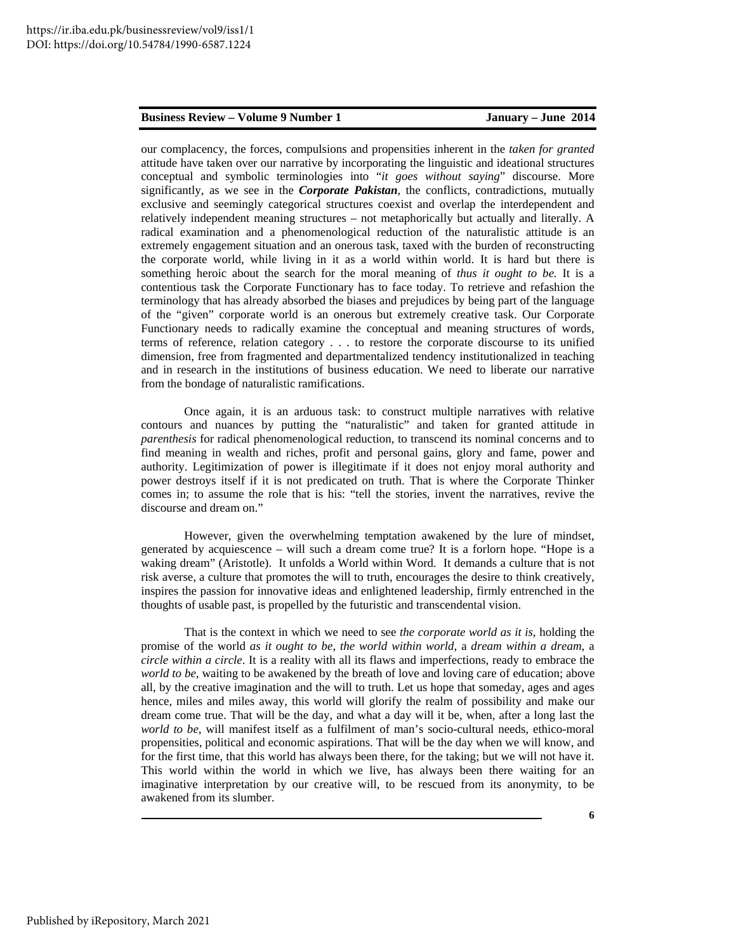our complacency, the forces, compulsions and propensities inherent in the *taken for granted* attitude have taken over our narrative by incorporating the linguistic and ideational structures conceptual and symbolic terminologies into "*it goes without saying*" discourse. More significantly, as we see in the *Corporate Pakistan*, the conflicts, contradictions, mutually exclusive and seemingly categorical structures coexist and overlap the interdependent and relatively independent meaning structures – not metaphorically but actually and literally. A radical examination and a phenomenological reduction of the naturalistic attitude is an extremely engagement situation and an onerous task, taxed with the burden of reconstructing the corporate world, while living in it as a world within world. It is hard but there is something heroic about the search for the moral meaning of *thus it ought to be.* It is a contentious task the Corporate Functionary has to face today. To retrieve and refashion the terminology that has already absorbed the biases and prejudices by being part of the language of the "given" corporate world is an onerous but extremely creative task. Our Corporate Functionary needs to radically examine the conceptual and meaning structures of words, terms of reference, relation category . . . to restore the corporate discourse to its unified dimension, free from fragmented and departmentalized tendency institutionalized in teaching and in research in the institutions of business education. We need to liberate our narrative from the bondage of naturalistic ramifications.

Once again, it is an arduous task: to construct multiple narratives with relative contours and nuances by putting the "naturalistic" and taken for granted attitude in *parenthesis* for radical phenomenological reduction, to transcend its nominal concerns and to find meaning in wealth and riches, profit and personal gains, glory and fame, power and authority. Legitimization of power is illegitimate if it does not enjoy moral authority and power destroys itself if it is not predicated on truth. That is where the Corporate Thinker comes in; to assume the role that is his: "tell the stories, invent the narratives, revive the discourse and dream on."

However, given the overwhelming temptation awakened by the lure of mindset, generated by acquiescence – will such a dream come true? It is a forlorn hope. "Hope is a waking dream" (Aristotle). It unfolds a World within Word. It demands a culture that is not risk averse, a culture that promotes the will to truth, encourages the desire to think creatively, inspires the passion for innovative ideas and enlightened leadership, firmly entrenched in the thoughts of usable past, is propelled by the futuristic and transcendental vision.

That is the context in which we need to see *the corporate world as it is*, holding the promise of the world *as it ought to be*, *the world within world*, a *dream within a dream*, a *circle within a circle*. It is a reality with all its flaws and imperfections, ready to embrace the *world to be,* waiting to be awakened by the breath of love and loving care of education; above all, by the creative imagination and the will to truth. Let us hope that someday, ages and ages hence, miles and miles away, this world will glorify the realm of possibility and make our dream come true. That will be the day, and what a day will it be, when, after a long last the *world to be,* will manifest itself as a fulfilment of man's socio-cultural needs, ethico-moral propensities, political and economic aspirations. That will be the day when we will know, and for the first time, that this world has always been there, for the taking; but we will not have it. This world within the world in which we live, has always been there waiting for an imaginative interpretation by our creative will, to be rescued from its anonymity, to be awakened from its slumber.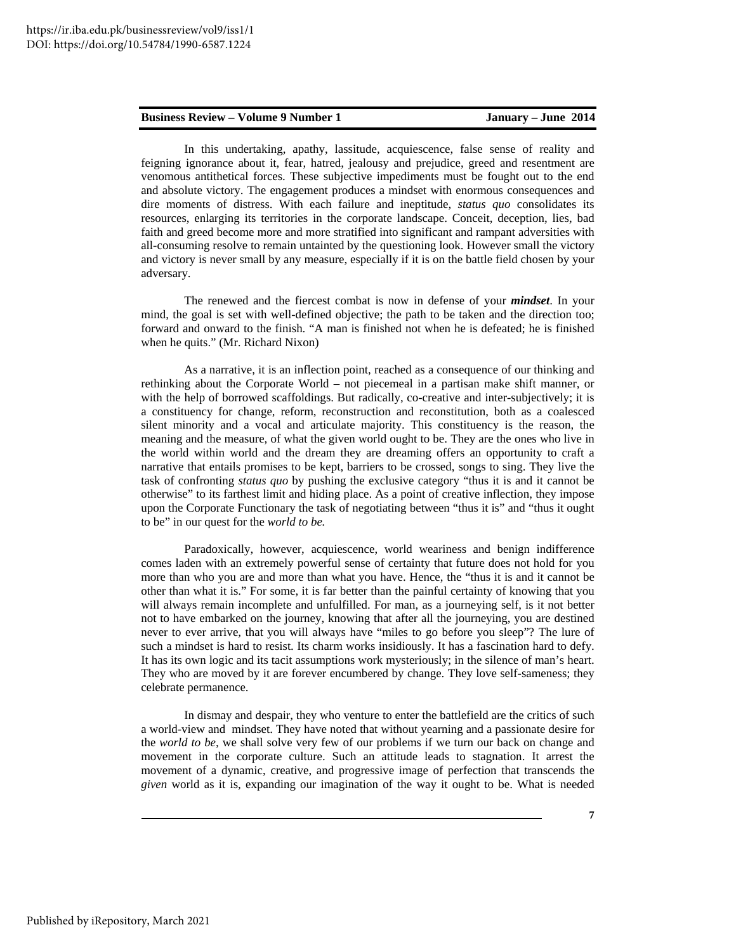In this undertaking, apathy, lassitude, acquiescence, false sense of reality and feigning ignorance about it, fear, hatred, jealousy and prejudice, greed and resentment are venomous antithetical forces. These subjective impediments must be fought out to the end and absolute victory. The engagement produces a mindset with enormous consequences and dire moments of distress. With each failure and ineptitude, *status quo* consolidates its resources, enlarging its territories in the corporate landscape. Conceit, deception, lies, bad faith and greed become more and more stratified into significant and rampant adversities with all-consuming resolve to remain untainted by the questioning look. However small the victory and victory is never small by any measure, especially if it is on the battle field chosen by your adversary.

The renewed and the fiercest combat is now in defense of your *mindset*. In your mind, the goal is set with well-defined objective; the path to be taken and the direction too; forward and onward to the finish. "A man is finished not when he is defeated; he is finished when he quits." (Mr. Richard Nixon)

As a narrative, it is an inflection point, reached as a consequence of our thinking and rethinking about the Corporate World – not piecemeal in a partisan make shift manner, or with the help of borrowed scaffoldings. But radically, co-creative and inter-subjectively; it is a constituency for change, reform, reconstruction and reconstitution, both as a coalesced silent minority and a vocal and articulate majority. This constituency is the reason, the meaning and the measure, of what the given world ought to be. They are the ones who live in the world within world and the dream they are dreaming offers an opportunity to craft a narrative that entails promises to be kept, barriers to be crossed, songs to sing. They live the task of confronting *status quo* by pushing the exclusive category "thus it is and it cannot be otherwise" to its farthest limit and hiding place. As a point of creative inflection, they impose upon the Corporate Functionary the task of negotiating between "thus it is" and "thus it ought to be" in our quest for the *world to be.* 

Paradoxically, however, acquiescence, world weariness and benign indifference comes laden with an extremely powerful sense of certainty that future does not hold for you more than who you are and more than what you have. Hence, the "thus it is and it cannot be other than what it is." For some, it is far better than the painful certainty of knowing that you will always remain incomplete and unfulfilled. For man, as a journeying self, is it not better not to have embarked on the journey, knowing that after all the journeying, you are destined never to ever arrive, that you will always have "miles to go before you sleep"? The lure of such a mindset is hard to resist. Its charm works insidiously. It has a fascination hard to defy. It has its own logic and its tacit assumptions work mysteriously; in the silence of man's heart. They who are moved by it are forever encumbered by change. They love self-sameness; they celebrate permanence.

In dismay and despair, they who venture to enter the battlefield are the critics of such a world-view and mindset. They have noted that without yearning and a passionate desire for the *world to be,* we shall solve very few of our problems if we turn our back on change and movement in the corporate culture. Such an attitude leads to stagnation. It arrest the movement of a dynamic, creative, and progressive image of perfection that transcends the *given* world as it is, expanding our imagination of the way it ought to be. What is needed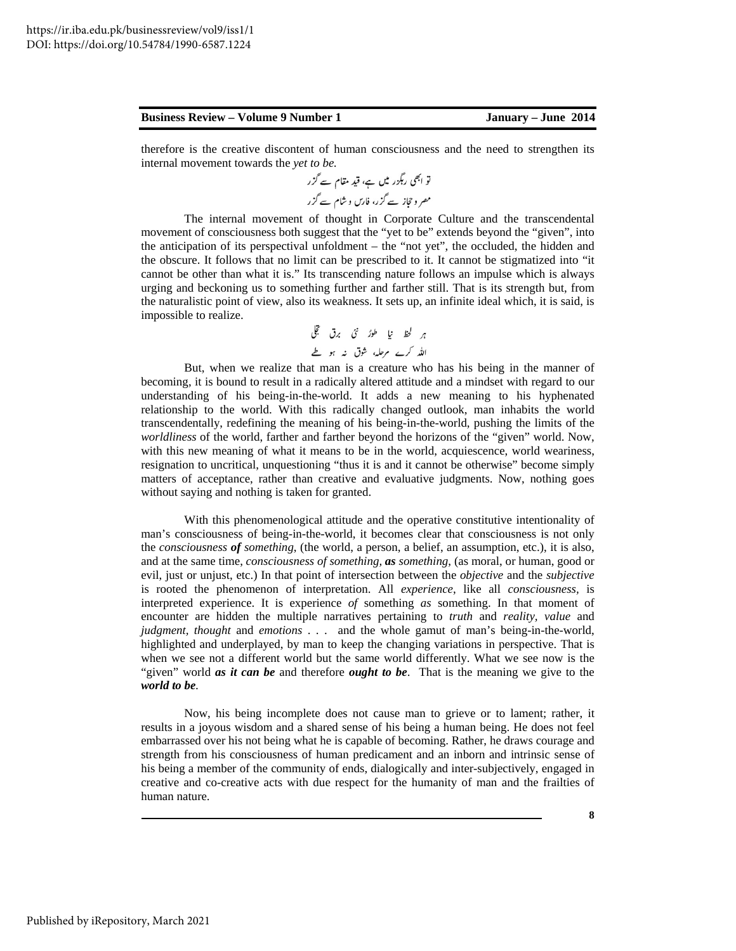therefore is the creative discontent of human consciousness and the need to strengthen its internal movement towards the *yet to be.*

The internal movement of thought in Corporate Culture and the transcendental movement of consciousness both suggest that the "yet to be" extends beyond the "given", into the anticipation of its perspectival unfoldment – the "not yet", the occluded, the hidden and the obscure. It follows that no limit can be prescribed to it. It cannot be stigmatized into "it cannot be other than what it is." Its transcending nature follows an impulse which is always urging and beckoning us to something further and farther still. That is its strength but, from the naturalistic point of view, also its weakness. It sets up, an infinite ideal which, it is said, is impossible to realize.

But, when we realize that man is a creature who has his being in the manner of becoming, it is bound to result in a radically altered attitude and a mindset with regard to our understanding of his being-in-the-world. It adds a new meaning to his hyphenated relationship to the world. With this radically changed outlook, man inhabits the world transcendentally, redefining the meaning of his being-in-the-world, pushing the limits of the *worldliness* of the world, farther and farther beyond the horizons of the "given" world. Now, with this new meaning of what it means to be in the world, acquiescence, world weariness, resignation to uncritical, unquestioning "thus it is and it cannot be otherwise" become simply matters of acceptance, rather than creative and evaluative judgments. Now, nothing goes without saying and nothing is taken for granted.

With this phenomenological attitude and the operative constitutive intentionality of man's consciousness of being-in-the-world, it becomes clear that consciousness is not only the *consciousness of something*, (the world, a person, a belief, an assumption, etc.), it is also, and at the same time, *consciousness of something, as something*, (as moral, or human, good or evil, just or unjust, etc.) In that point of intersection between the *objective* and the *subjective*  is rooted the phenomenon of interpretation. All *experience*, like all *consciousness,* is interpreted experience. It is experience *of* something *as* something. In that moment of encounter are hidden the multiple narratives pertaining to *truth* and *reality, value* and *judgment, thought* and *emotions* . . . and the whole gamut of man's being-in-the-world, highlighted and underplayed, by man to keep the changing variations in perspective. That is when we see not a different world but the same world differently. What we see now is the "given" world *as it can be* and therefore *ought to be*. That is the meaning we give to the *world to be.* 

Now, his being incomplete does not cause man to grieve or to lament; rather, it results in a joyous wisdom and a shared sense of his being a human being. He does not feel embarrassed over his not being what he is capable of becoming. Rather, he draws courage and strength from his consciousness of human predicament and an inborn and intrinsic sense of his being a member of the community of ends, dialogically and inter-subjectively, engaged in creative and co-creative acts with due respect for the humanity of man and the frailties of human nature.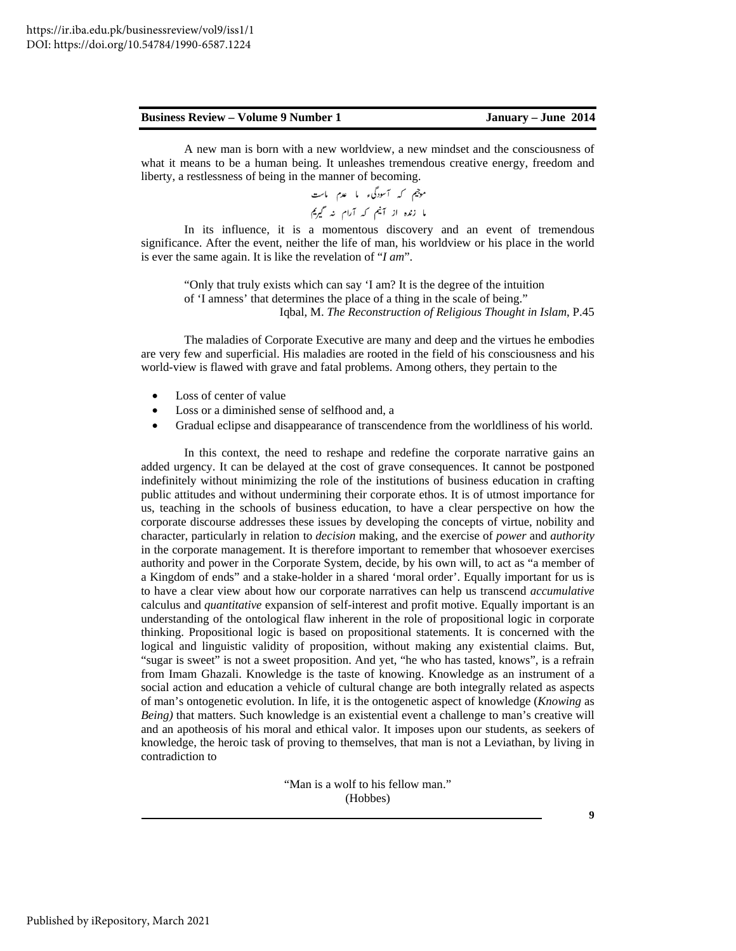A new man is born with a new worldview, a new mindset and the consciousness of what it means to be a human being. It unleashes tremendous creative energy, freedom and liberty, a restlessness of being in the manner of becoming.

> موجیم که آسودگیء ما عدم ماست ما زندہ از آنیم کہ آرام نہ گیریم

In its influence, it is a momentous discovery and an event of tremendous significance. After the event, neither the life of man, his worldview or his place in the world is ever the same again. It is like the revelation of "*I am*".

"Only that truly exists which can say 'I am? It is the degree of the intuition of 'I amness' that determines the place of a thing in the scale of being." Iqbal, M. *The Reconstruction of Religious Thought in Islam*, P.45

The maladies of Corporate Executive are many and deep and the virtues he embodies are very few and superficial. His maladies are rooted in the field of his consciousness and his world-view is flawed with grave and fatal problems. Among others, they pertain to the

- Loss of center of value
- Loss or a diminished sense of selfhood and, a
- Gradual eclipse and disappearance of transcendence from the worldliness of his world.

In this context, the need to reshape and redefine the corporate narrative gains an added urgency. It can be delayed at the cost of grave consequences. It cannot be postponed indefinitely without minimizing the role of the institutions of business education in crafting public attitudes and without undermining their corporate ethos. It is of utmost importance for us, teaching in the schools of business education, to have a clear perspective on how the corporate discourse addresses these issues by developing the concepts of virtue, nobility and character, particularly in relation to *decision* making*,* and the exercise of *power* and *authority*  in the corporate management. It is therefore important to remember that whosoever exercises authority and power in the Corporate System, decide, by his own will, to act as "a member of a Kingdom of ends" and a stake-holder in a shared 'moral order'. Equally important for us is to have a clear view about how our corporate narratives can help us transcend *accumulative*  calculus and *quantitative* expansion of self-interest and profit motive. Equally important is an understanding of the ontological flaw inherent in the role of propositional logic in corporate thinking. Propositional logic is based on propositional statements. It is concerned with the logical and linguistic validity of proposition, without making any existential claims. But, "sugar is sweet" is not a sweet proposition. And yet, "he who has tasted, knows", is a refrain from Imam Ghazali. Knowledge is the taste of knowing. Knowledge as an instrument of a social action and education a vehicle of cultural change are both integrally related as aspects of man's ontogenetic evolution. In life, it is the ontogenetic aspect of knowledge (*Knowing* as *Being)* that matters. Such knowledge is an existential event a challenge to man's creative will and an apotheosis of his moral and ethical valor. It imposes upon our students, as seekers of knowledge, the heroic task of proving to themselves, that man is not a Leviathan, by living in contradiction to

> "Man is a wolf to his fellow man." (Hobbes)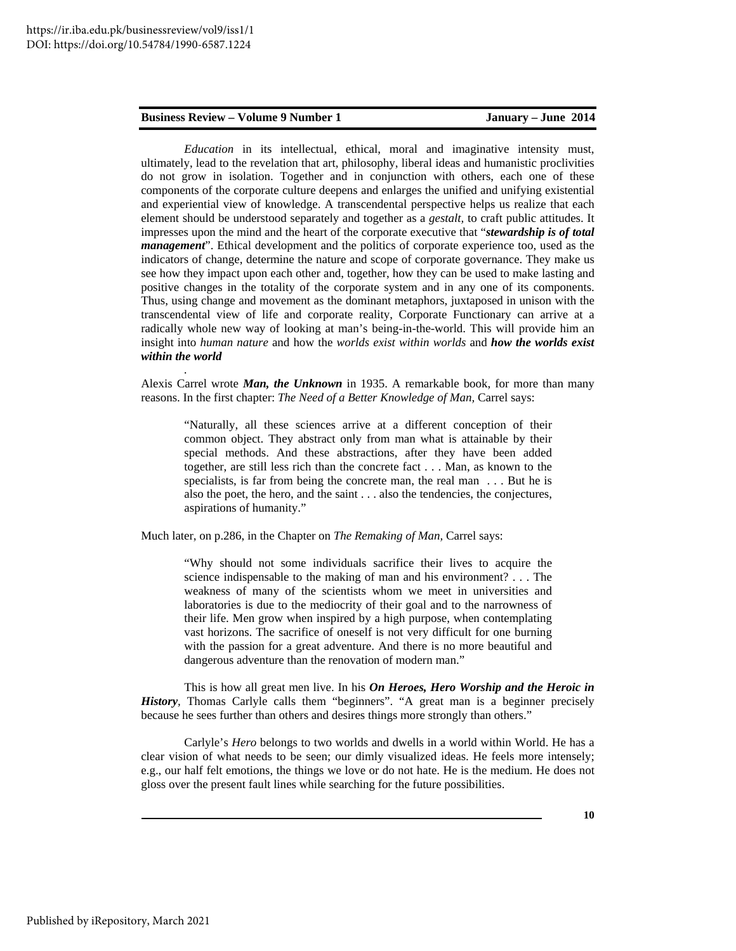*.* 

*Education* in its intellectual, ethical, moral and imaginative intensity must, ultimately, lead to the revelation that art, philosophy, liberal ideas and humanistic proclivities do not grow in isolation. Together and in conjunction with others, each one of these components of the corporate culture deepens and enlarges the unified and unifying existential and experiential view of knowledge. A transcendental perspective helps us realize that each element should be understood separately and together as a *gestalt,* to craft public attitudes. It impresses upon the mind and the heart of the corporate executive that "*stewardship is of total management*". Ethical development and the politics of corporate experience too, used as the indicators of change, determine the nature and scope of corporate governance. They make us see how they impact upon each other and, together, how they can be used to make lasting and positive changes in the totality of the corporate system and in any one of its components. Thus, using change and movement as the dominant metaphors, juxtaposed in unison with the transcendental view of life and corporate reality, Corporate Functionary can arrive at a radically whole new way of looking at man's being-in-the-world. This will provide him an insight into *human nature* and how the *worlds exist within worlds* and *how the worlds exist within the world* 

Alexis Carrel wrote *Man, the Unknown* in 1935. A remarkable book, for more than many reasons. In the first chapter: *The Need of a Better Knowledge of Man,* Carrel says:

"Naturally, all these sciences arrive at a different conception of their common object. They abstract only from man what is attainable by their special methods. And these abstractions, after they have been added together, are still less rich than the concrete fact . . . Man, as known to the specialists, is far from being the concrete man, the real man . . . But he is also the poet, the hero, and the saint . . . also the tendencies, the conjectures, aspirations of humanity."

Much later, on p.286, in the Chapter on *The Remaking of Man,* Carrel says:

"Why should not some individuals sacrifice their lives to acquire the science indispensable to the making of man and his environment? . . . The weakness of many of the scientists whom we meet in universities and laboratories is due to the mediocrity of their goal and to the narrowness of their life. Men grow when inspired by a high purpose, when contemplating vast horizons. The sacrifice of oneself is not very difficult for one burning with the passion for a great adventure. And there is no more beautiful and dangerous adventure than the renovation of modern man."

This is how all great men live. In his *On Heroes, Hero Worship and the Heroic in History,* Thomas Carlyle calls them "beginners". "A great man is a beginner precisely because he sees further than others and desires things more strongly than others."

Carlyle's *Hero* belongs to two worlds and dwells in a world within World. He has a clear vision of what needs to be seen; our dimly visualized ideas. He feels more intensely; e.g., our half felt emotions, the things we love or do not hate. He is the medium. He does not gloss over the present fault lines while searching for the future possibilities.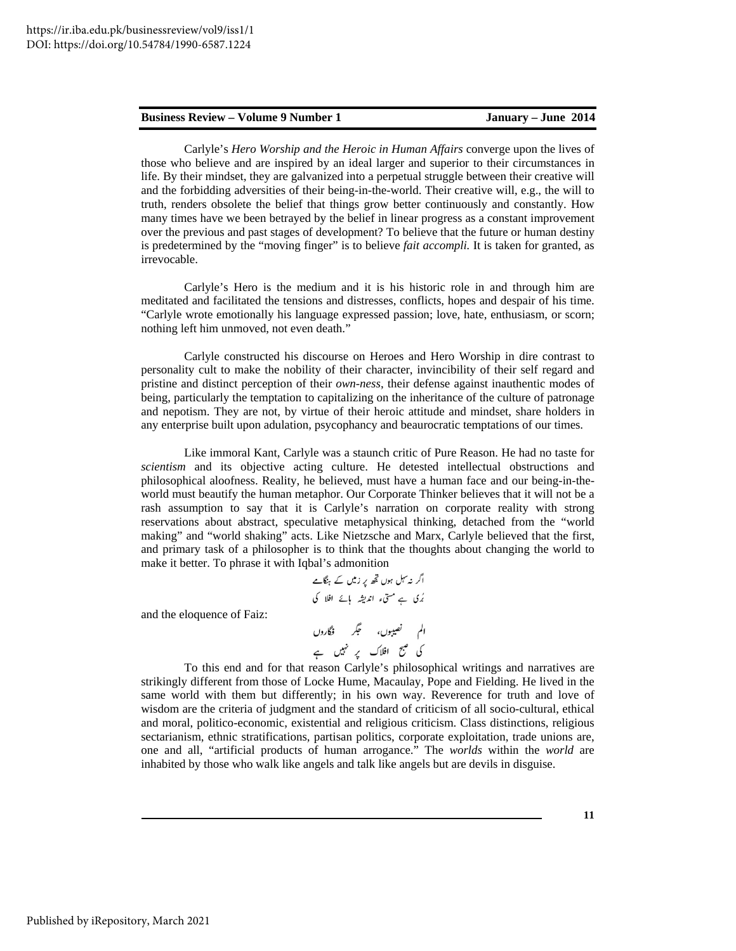Carlyle's *Hero Worship and the Heroic in Human Affairs* converge upon the lives of those who believe and are inspired by an ideal larger and superior to their circumstances in life. By their mindset, they are galvanized into a perpetual struggle between their creative will and the forbidding adversities of their being-in-the-world. Their creative will, e.g., the will to truth, renders obsolete the belief that things grow better continuously and constantly. How many times have we been betrayed by the belief in linear progress as a constant improvement over the previous and past stages of development? To believe that the future or human destiny is predetermined by the "moving finger" is to believe *fait accompli.* It is taken for granted, as irrevocable.

Carlyle's Hero is the medium and it is his historic role in and through him are meditated and facilitated the tensions and distresses, conflicts, hopes and despair of his time. "Carlyle wrote emotionally his language expressed passion; love, hate, enthusiasm, or scorn; nothing left him unmoved, not even death."

Carlyle constructed his discourse on Heroes and Hero Worship in dire contrast to personality cult to make the nobility of their character, invincibility of their self regard and pristine and distinct perception of their *own-ness*, their defense against inauthentic modes of being, particularly the temptation to capitalizing on the inheritance of the culture of patronage and nepotism. They are not, by virtue of their heroic attitude and mindset, share holders in any enterprise built upon adulation, psycophancy and beaurocratic temptations of our times.

Like immoral Kant, Carlyle was a staunch critic of Pure Reason. He had no taste for *scientism* and its objective acting culture. He detested intellectual obstructions and philosophical aloofness. Reality, he believed, must have a human face and our being-in-theworld must beautify the human metaphor. Our Corporate Thinker believes that it will not be a rash assumption to say that it is Carlyle's narration on corporate reality with strong reservations about abstract, speculative metaphysical thinking, detached from the "world making" and "world shaking" acts. Like Nietzsche and Marx, Carlyle believed that the first, and primary task of a philosopher is to think that the thoughts about changing the world to make it better. To phrase it with Iqbal's admonition

and the eloquence of Faiz:

To this end and for that reason Carlyle's philosophical writings and narratives are strikingly different from those of Locke Hume, Macaulay, Pope and Fielding. He lived in the same world with them but differently; in his own way. Reverence for truth and love of wisdom are the criteria of judgment and the standard of criticism of all socio-cultural, ethical and moral, politico-economic, existential and religious criticism. Class distinctions, religious sectarianism, ethnic stratifications, partisan politics, corporate exploitation, trade unions are, one and all, "artificial products of human arrogance." The *worlds* within the *world* are inhabited by those who walk like angels and talk like angels but are devils in disguise.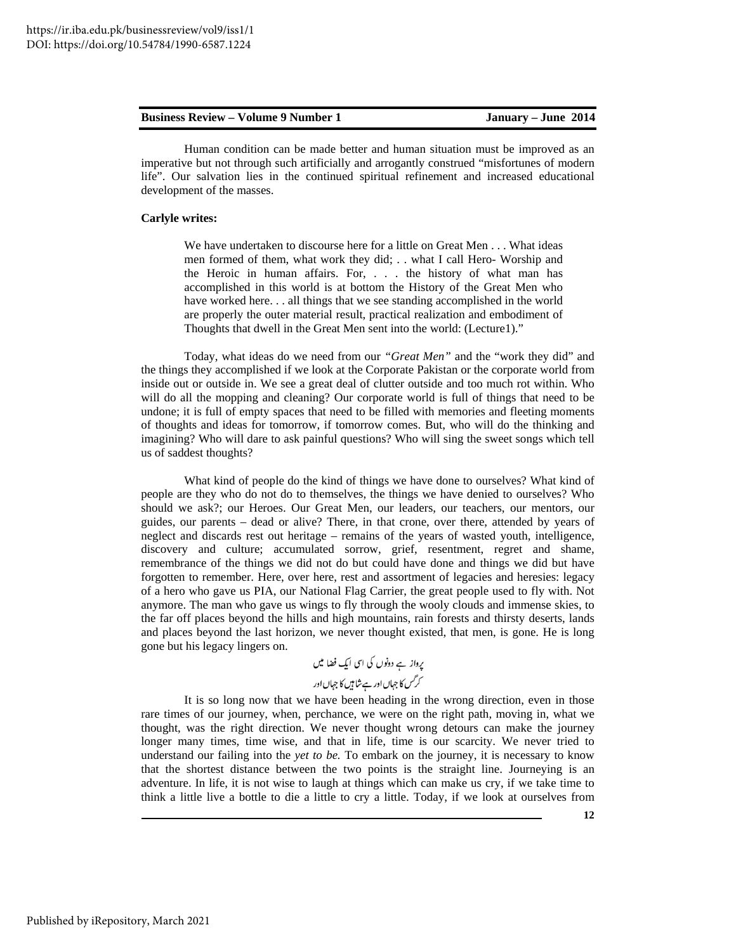Human condition can be made better and human situation must be improved as an imperative but not through such artificially and arrogantly construed "misfortunes of modern life". Our salvation lies in the continued spiritual refinement and increased educational development of the masses.

# **Carlyle writes:**

We have undertaken to discourse here for a little on Great Men . . . What ideas men formed of them, what work they did; . . what I call Hero- Worship and the Heroic in human affairs. For, . . . the history of what man has accomplished in this world is at bottom the History of the Great Men who have worked here. . . all things that we see standing accomplished in the world are properly the outer material result, practical realization and embodiment of Thoughts that dwell in the Great Men sent into the world: (Lecture1)."

Today, what ideas do we need from our *"Great Men"* and the "work they did" and the things they accomplished if we look at the Corporate Pakistan or the corporate world from inside out or outside in. We see a great deal of clutter outside and too much rot within. Who will do all the mopping and cleaning? Our corporate world is full of things that need to be undone; it is full of empty spaces that need to be filled with memories and fleeting moments of thoughts and ideas for tomorrow, if tomorrow comes. But, who will do the thinking and imagining? Who will dare to ask painful questions? Who will sing the sweet songs which tell us of saddest thoughts?

What kind of people do the kind of things we have done to ourselves? What kind of people are they who do not do to themselves, the things we have denied to ourselves? Who should we ask?; our Heroes. Our Great Men, our leaders, our teachers, our mentors, our guides, our parents – dead or alive? There, in that crone, over there, attended by years of neglect and discards rest out heritage – remains of the years of wasted youth, intelligence, discovery and culture; accumulated sorrow, grief, resentment, regret and shame, remembrance of the things we did not do but could have done and things we did but have forgotten to remember. Here, over here, rest and assortment of legacies and heresies: legacy of a hero who gave us PIA, our National Flag Carrier, the great people used to fly with. Not anymore. The man who gave us wings to fly through the wooly clouds and immense skies, to the far off places beyond the hills and high mountains, rain forests and thirsty deserts, lands and places beyond the last horizon, we never thought existed, that men, is gone. He is long gone but his legacy lingers on.

It is so long now that we have been heading in the wrong direction, even in those rare times of our journey, when, perchance, we were on the right path, moving in, what we thought, was the right direction. We never thought wrong detours can make the journey longer many times, time wise, and that in life, time is our scarcity. We never tried to understand our failing into the *yet to be.* To embark on the journey, it is necessary to know that the shortest distance between the two points is the straight line. Journeying is an adventure. In life, it is not wise to laugh at things which can make us cry, if we take time to think a little live a bottle to die a little to cry a little. Today, if we look at ourselves from